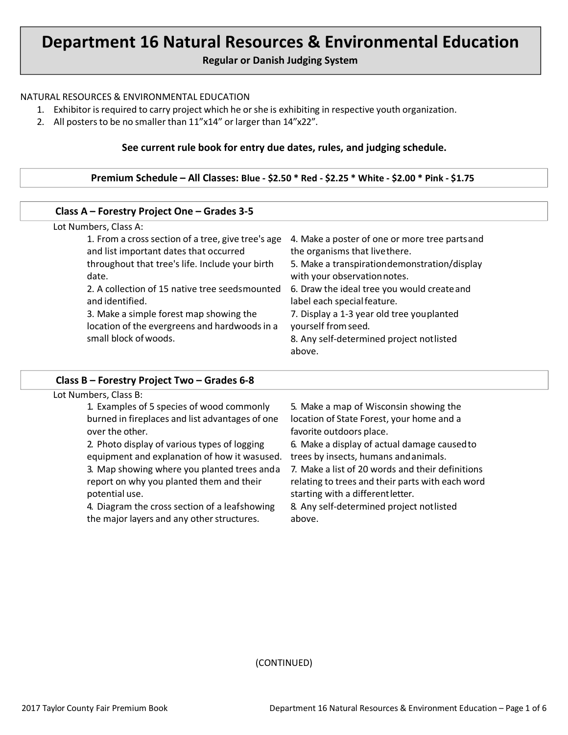# **Department 16 Natural Resources & Environmental Education**

**Regular or Danish Judging System**

#### NATURAL RESOURCES & ENVIRONMENTAL EDUCATION

- 1. Exhibitor is required to carry project which he orshe is exhibiting in respective youth organization.
- 2. All posters to be no smaller than 11"x14" or larger than 14"x22".

#### **See current rule book for entry due dates, rules, and judging schedule.**

#### **Premium Schedule – All Classes: Blue - \$2.50 \* Red - \$2.25 \* White - \$2.00 \* Pink - \$1.75**

#### Lot Numbers, Class A: 1. From a cross section of a tree, give tree's age 4. Make a poster of one or more tree parts and and list important dates that occurred throughout that tree's life. Include your birth date. 2. A collection of 15 native tree seedsmounted and identified. 3. Make a simple forest map showing the location of the evergreens and hardwoods in a small block ofwoods. the organisms that livethere. 5. Make a transpirationdemonstration/display with your observation notes. 6. Draw the ideal tree you would createand label each special feature. 7. Display a 1-3 year old tree youplanted yourself fromseed. 8. Any self-determined project notlisted above. **Class A – Forestry Project One – Grades 3-5**

#### **Class B – Forestry Project Two – Grades 6-8**

| Lot Numbers, Class B:                           |                                                  |  |  |
|-------------------------------------------------|--------------------------------------------------|--|--|
| 1. Examples of 5 species of wood commonly       | 5. Make a map of Wisconsin showing the           |  |  |
| burned in fireplaces and list advantages of one | location of State Forest, your home and a        |  |  |
| over the other.                                 | favorite outdoors place.                         |  |  |
| 2. Photo display of various types of logging    | 6. Make a display of actual damage caused to     |  |  |
| equipment and explanation of how it wasused.    | trees by insects, humans and animals.            |  |  |
| 3. Map showing where you planted trees and a    | 7. Make a list of 20 words and their definitions |  |  |
| report on why you planted them and their        | relating to trees and their parts with each word |  |  |
| potential use.                                  | starting with a different letter.                |  |  |
| 4. Diagram the cross section of a leafshowing   | 8. Any self-determined project notlisted         |  |  |
| the major layers and any other structures.      | above.                                           |  |  |
|                                                 |                                                  |  |  |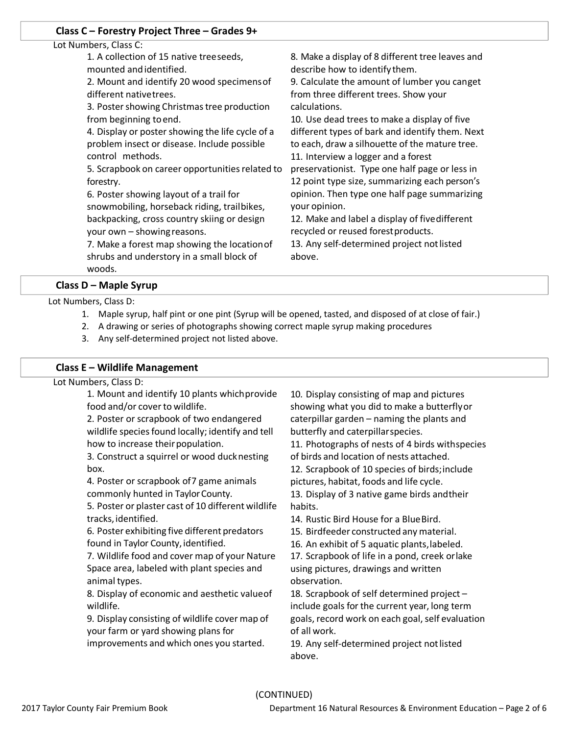### **Class C – Forestry Project Three – Grades 9+**

#### Lot Numbers, Class C:

1. A collection of 15 native treeseeds, mounted andidentified.

2. Mount and identify 20 wood specimensof different nativetrees.

3. Poster showing Christmas tree production from beginning toend.

4. Display or poster showing the life cycle of a problem insect or disease. Include possible control methods.

5. Scrapbook on career opportunities related to forestry.

6. Poster showing layout of a trail for snowmobiling, horseback riding, trailbikes, backpacking, cross country skiing or design your own – showingreasons.

7. Make a forest map showing the locationof shrubs and understory in a small block of woods.

8. Make a display of 8 different tree leaves and describe how to identify them.

9. Calculate the amount of lumber you canget from three different trees. Show your calculations.

10. Use dead trees to make a display of five different types of bark and identify them. Next to each, draw a silhouette of the mature tree.

11. Interview a logger and a forest preservationist. Type one half page or less in 12 point type size, summarizing each person's opinion. Then type one half page summarizing your opinion.

12. Make and label a display of fivedifferent recycled or reused forestproducts.

13. Any self-determined project not listed above.

**Class D – Maple Syrup**

Lot Numbers, Class D:

- 1. Maple syrup, half pint or one pint (Syrup will be opened, tasted, and disposed of at close of fair.)
- 2. A drawing or series of photographs showing correct maple syrup making procedures
- 3. Any self-determined project not listed above.

# **Class E – Wildlife Management**

Lot Numbers, Class D:

1. Mount and identify 10 plants whichprovide food and/or cover to wildlife.

2. Poster or scrapbook of two endangered wildlife species found locally; identify and tell how to increase their population.

3. Construct a squirrel or wood ducknesting box.

4. Poster or scrapbook of7 game animals commonly hunted in Taylor County.

5. Poster or plaster cast of 10 different wildlife tracks,identified.

6. Poster exhibiting five different predators found in Taylor County, identified.

7. Wildlife food and cover map of your Nature Space area, labeled with plant species and animal types.

8. Display of economic and aesthetic valueof wildlife.

9. Display consisting of wildlife cover map of your farm or yard showing plans for improvements and which ones you started.

10. Display consisting of map and pictures showing what you did to make a butterflyor caterpillar garden – naming the plants and butterfly and caterpillarspecies.

11. Photographs of nests of 4 birds withspecies of birds and location of nests attached.

12. Scrapbook of 10 species of birds;include pictures, habitat, foods and life cycle.

13. Display of 3 native game birds andtheir habits.

14. Rustic Bird House for a BlueBird.

15. Birdfeeder constructed any material.

16. An exhibit of 5 aquatic plants,labeled.

17. Scrapbook of life in a pond, creek orlake using pictures, drawings and written observation.

18. Scrapbook of self determined project – include goals for the current year, long term goals, record work on each goal, self evaluation of all work.

19. Any self-determined project notlisted above.

# (CONTINUED)

2017 Taylor County Fair Premium Book Department 16 Natural Resources & Environment Education – Page 2 of 6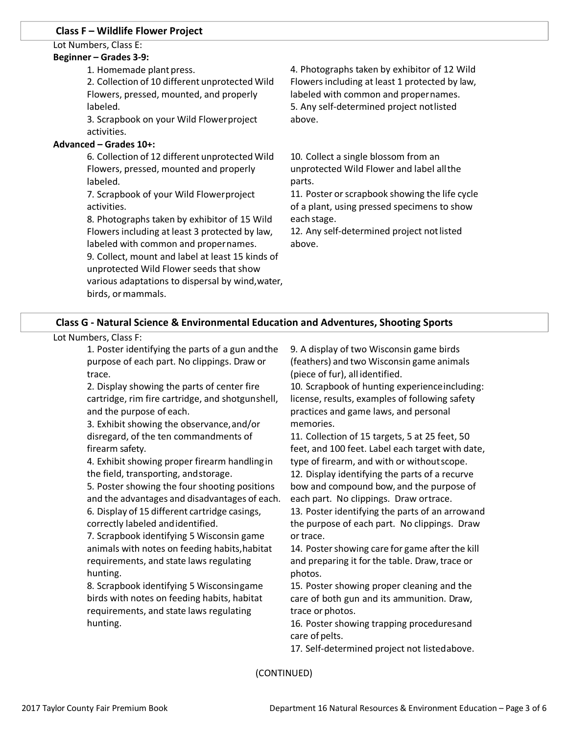### **Class F – Wildlife Flower Project**

# Lot Numbers, Class E:

#### **Beginner – Grades 3-9:**

1. Homemade plant press.

2. Collection of 10 different unprotected Wild Flowers, pressed, mounted, and properly labeled.

3. Scrapbook on your Wild Flowerproject activities.

#### **Advanced – Grades 10+:**

6. Collection of 12 different unprotected Wild Flowers, pressed, mounted and properly labeled.

7. Scrapbook of your Wild Flowerproject activities.

8. Photographs taken by exhibitor of 15 Wild Flowers including at least 3 protected by law, labeled with common and propernames.

9. Collect, mount and label at least 15 kinds of unprotected Wild Flower seeds that show various adaptations to dispersal by wind,water, birds, or mammals.

4. Photographs taken by exhibitor of 12 Wild Flowersincluding at least 1 protected by law, labeled with common and propernames. 5. Any self-determined project notlisted above.

10. Collect a single blossom from an unprotected Wild Flower and label allthe parts.

11. Poster or scrapbook showing the life cycle of a plant, using pressed specimens to show each stage.

12. Any self-determined project not listed above.

# **Class G - Natural Science & Environmental Education and Adventures, Shooting Sports**

#### Lot Numbers, Class F:

1. Poster identifying the parts of a gun andthe purpose of each part. No clippings. Draw or trace.

2. Display showing the parts of center fire cartridge, rim fire cartridge, and shotgunshell, and the purpose of each.

3. Exhibit showing the observance,and/or disregard, of the ten commandments of firearm safety.

4. Exhibit showing proper firearm handlingin the field, transporting, andstorage.

5. Poster showing the four shooting positions and the advantages and disadvantages of each. 6. Display of 15 different cartridge casings,

correctly labeled andidentified.

7. Scrapbook identifying 5 Wisconsin game animals with notes on feeding habits,habitat requirements, and state laws regulating hunting.

8. Scrapbook identifying 5 Wisconsingame birds with notes on feeding habits, habitat requirements, and state laws regulating hunting.

9. A display of two Wisconsin game birds (feathers) and two Wisconsin game animals (piece of fur), all identified.

10. Scrapbook of hunting experienceincluding: license, results, examples of following safety practices and game laws, and personal memories.

11. Collection of 15 targets, 5 at 25 feet, 50 feet, and 100 feet. Label each target with date, type of firearm, and with or withoutscope. 12. Display identifying the parts of a recurve bow and compound bow, and the purpose of each part. No clippings. Draw ortrace.

13. Poster identifying the parts of an arrowand the purpose of each part. No clippings. Draw or trace.

14. Poster showing care for game after the kill and preparing it for the table. Draw, trace or photos.

15. Poster showing proper cleaning and the care of both gun and its ammunition. Draw, trace or photos.

16. Poster showing trapping proceduresand care of pelts.

17. Self-determined project not listedabove.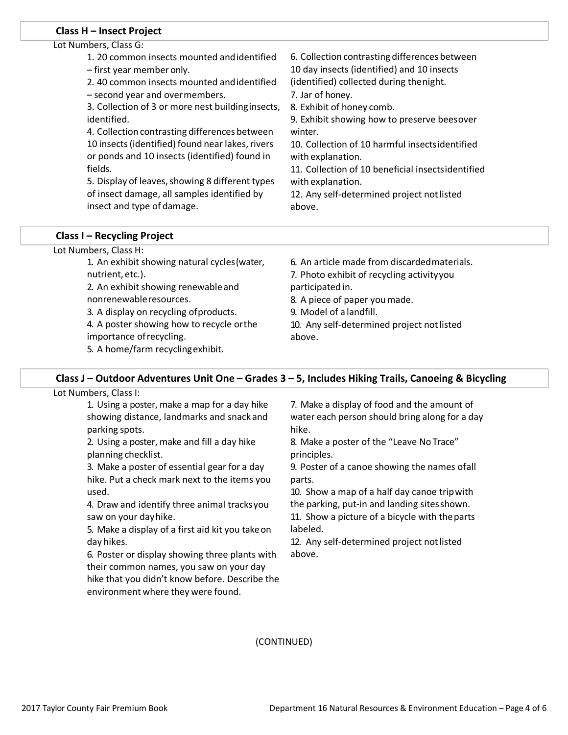#### **Class H – Insect Project**

| Lot Numbers, Class G:                             |                                                   |
|---------------------------------------------------|---------------------------------------------------|
| 1. 20 common insects mounted and identified       | 6. Collection contrasting differences between     |
| - first year member only.                         | 10 day insects (identified) and 10 insects        |
| 2.40 common insects mounted and identified        | (identified) collected during the night.          |
| - second year and overmembers.                    | 7. Jar of honey.                                  |
| 3. Collection of 3 or more nest building insects, | 8. Exhibit of honey comb.                         |
| identified.                                       | 9. Exhibit showing how to preserve beesover       |
| 4. Collection contrasting differences between     | winter.                                           |
| 10 insects (identified) found near lakes, rivers  | 10. Collection of 10 harmful insectsidentified    |
| or ponds and 10 insects (identified) found in     | with explanation.                                 |
| fields.                                           | 11. Collection of 10 beneficial insectsidentified |
| 5. Display of leaves, showing 8 different types   | with explanation.                                 |
| of insect damage, all samples identified by       | 12. Any self-determined project not listed        |
| insect and type of damage.                        | above.                                            |
|                                                   |                                                   |

#### **Class I – Recycling Project**

Lot Numbers, Class H:

| 1. An exhibit showing natural cycles (water, | 6. An article made from discarded materials. |
|----------------------------------------------|----------------------------------------------|
| nutrient, etc.).                             | 7. Photo exhibit of recycling activity you   |
| 2. An exhibit showing renewable and          | participated in.                             |
| nonrenewable resources.                      | 8. A piece of paper you made.                |
| 3. A display on recycling of products.       | 9. Model of a landfill.                      |
| 4. A poster showing how to recycle orthe     | 10. Any self-determined project not listed   |
| importance of recycling.                     | above.                                       |
| 5. A home/farm recycling exhibit.            |                                              |
|                                              |                                              |

#### **Class J – Outdoor Adventures Unit One – Grades 3 – 5, Includes Hiking Trails, Canoeing & Bicycling**

Lot Numbers, Class I:

1. Using a poster, make a map for a day hike showing distance, landmarks and snack and parking spots.

2. Using a poster, make and fill a day hike planning checklist.

3. Make a poster of essential gear for a day hike. Put a check mark next to the items you used.

4. Draw and identify three animal tracksyou saw on your dayhike.

5. Make a display of a first aid kit you takeon day hikes.

6. Poster or display showing three plants with their common names, you saw on your day hike that you didn't know before. Describe the environment where they were found.

7. Make a display of food and the amount of water each person should bring along for a day hike.

8. Make a poster of the "Leave No Trace" principles.

9. Poster of a canoe showing the names ofall parts.

10. Show a map of a half day canoe tripwith the parking, put-in and landing sitesshown.

11. Show a picture of a bicycle with theparts labeled.

12. Any self-determined project not listed above.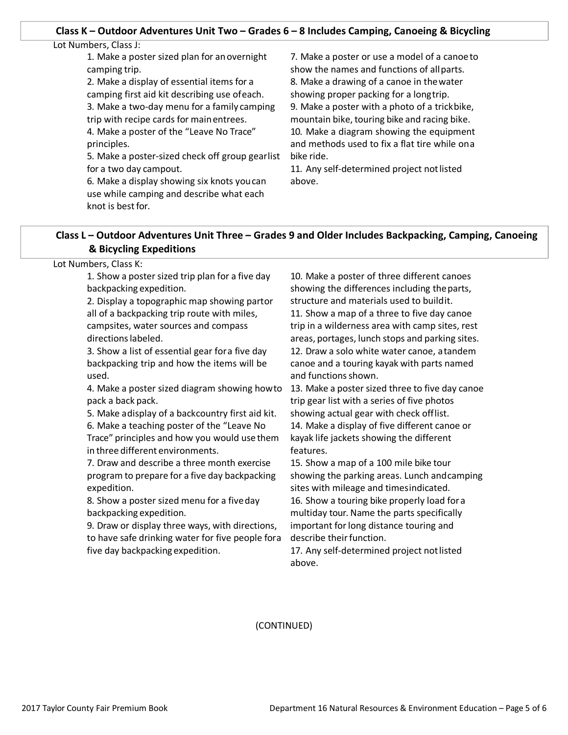#### **Class K – Outdoor Adventures Unit Two – Grades 6 – 8 Includes Camping, Canoeing & Bicycling**

| Lot Numbers, Class J:                                                                                                                                                                                                                                                                                                                                                                                                                                                                                           |                                                                                                                                                                                                                                                                                                                                                                                                                                                        |
|-----------------------------------------------------------------------------------------------------------------------------------------------------------------------------------------------------------------------------------------------------------------------------------------------------------------------------------------------------------------------------------------------------------------------------------------------------------------------------------------------------------------|--------------------------------------------------------------------------------------------------------------------------------------------------------------------------------------------------------------------------------------------------------------------------------------------------------------------------------------------------------------------------------------------------------------------------------------------------------|
| 1. Make a poster sized plan for an overnight<br>camping trip.<br>2. Make a display of essential items for a<br>camping first aid kit describing use of each.<br>3. Make a two-day menu for a family camping<br>trip with recipe cards for main entrees.<br>4. Make a poster of the "Leave No Trace"<br>principles.<br>5. Make a poster-sized check off group gearlist<br>for a two day campout.<br>6. Make a display showing six knots you can<br>use while camping and describe what each<br>knot is best for. | 7. Make a poster or use a model of a canoe to<br>show the names and functions of all parts.<br>8. Make a drawing of a canoe in the water<br>showing proper packing for a longtrip.<br>9. Make a poster with a photo of a trickbike,<br>mountain bike, touring bike and racing bike.<br>10. Make a diagram showing the equipment<br>and methods used to fix a flat tire while ona<br>bike ride.<br>11. Any self-determined project not listed<br>above. |
|                                                                                                                                                                                                                                                                                                                                                                                                                                                                                                                 |                                                                                                                                                                                                                                                                                                                                                                                                                                                        |

# **Class L – Outdoor Adventures Unit Three – Grades 9 and Older Includes Backpacking, Camping, Canoeing & Bicycling Expeditions**

Lot Numbers, Class K:

1. Show a poster sized trip plan for a five day backpacking expedition.

2. Display a topographic map showing partor all of a backpacking trip route with miles, campsites, water sources and compass directions labeled.

3. Show a list of essential gear fora five day backpacking trip and how the items will be used.

4. Make a poster sized diagram showing howto pack a back pack.

5. Make adisplay of a backcountry first aid kit.

6. Make a teaching poster of the "Leave No Trace" principles and how you would usethem in three different environments.

7. Draw and describe a three month exercise program to prepare for a five day backpacking expedition.

8. Show a poster sized menu for a fiveday backpacking expedition.

9. Draw or display three ways, with directions, to have safe drinking water for five people fora five day backpacking expedition.

10. Make a poster of three different canoes showing the differences including theparts, structure and materials used to buildit. 11. Show a map of a three to five day canoe trip in a wilderness area with camp sites, rest areas, portages, lunch stops and parking sites. 12. Draw a solo white water canoe, atandem canoe and a touring kayak with parts named and functions shown.

13. Make a poster sized three to five day canoe trip gear list with a series of five photos showing actual gear with check offlist.

14. Make a display of five different canoe or kayak life jackets showing the different features.

15. Show a map of a 100 mile bike tour showing the parking areas. Lunch andcamping sites with mileage and timesindicated. 16. Show a touring bike properly load for a multiday tour. Name the parts specifically important for long distance touring and describe their function.

17. Any self-determined project notlisted above.